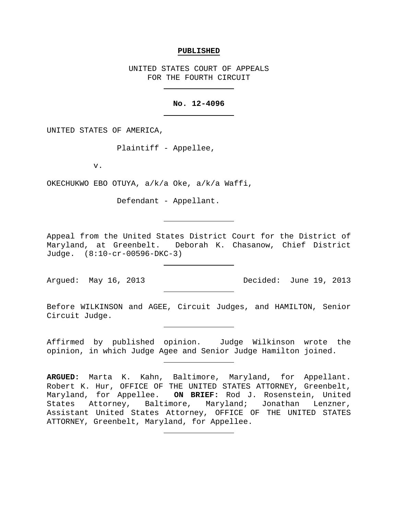#### **PUBLISHED**

UNITED STATES COURT OF APPEALS FOR THE FOURTH CIRCUIT

#### **No. 12-4096**

UNITED STATES OF AMERICA,

Plaintiff - Appellee,

v.

OKECHUKWO EBO OTUYA, a/k/a Oke, a/k/a Waffi,

Defendant - Appellant.

Appeal from the United States District Court for the District of Maryland, at Greenbelt. Deborah K. Chasanow, Chief District Judge. (8:10-cr-00596-DKC-3)

Argued: May 16, 2013 Decided: June 19, 2013

Before WILKINSON and AGEE, Circuit Judges, and HAMILTON, Senior Circuit Judge.

Affirmed by published opinion. Judge Wilkinson wrote the opinion, in which Judge Agee and Senior Judge Hamilton joined.

**ARGUED:** Marta K. Kahn, Baltimore, Maryland, for Appellant. Robert K. Hur, OFFICE OF THE UNITED STATES ATTORNEY, Greenbelt, Maryland, for Appellee. **ON BRIEF:** Rod J. Rosenstein, United States Attorney, Baltimore, Maryland; Jonathan Lenzner, Assistant United States Attorney, OFFICE OF THE UNITED STATES ATTORNEY, Greenbelt, Maryland, for Appellee.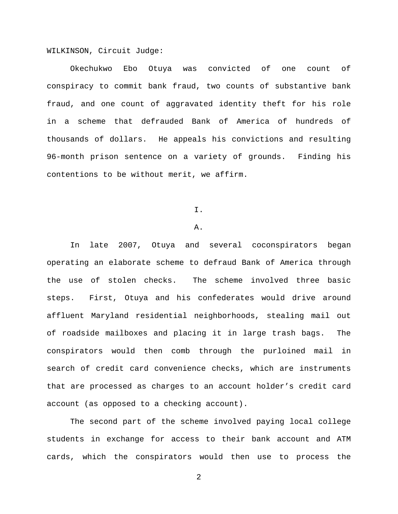WILKINSON, Circuit Judge:

Okechukwo Ebo Otuya was convicted of one count of conspiracy to commit bank fraud, two counts of substantive bank fraud, and one count of aggravated identity theft for his role in a scheme that defrauded Bank of America of hundreds of thousands of dollars. He appeals his convictions and resulting 96-month prison sentence on a variety of grounds. Finding his contentions to be without merit, we affirm.

I.

#### A.

In late 2007, Otuya and several coconspirators began operating an elaborate scheme to defraud Bank of America through the use of stolen checks. The scheme involved three basic steps. First, Otuya and his confederates would drive around affluent Maryland residential neighborhoods, stealing mail out of roadside mailboxes and placing it in large trash bags. The conspirators would then comb through the purloined mail in search of credit card convenience checks, which are instruments that are processed as charges to an account holder's credit card account (as opposed to a checking account).

The second part of the scheme involved paying local college students in exchange for access to their bank account and ATM cards, which the conspirators would then use to process the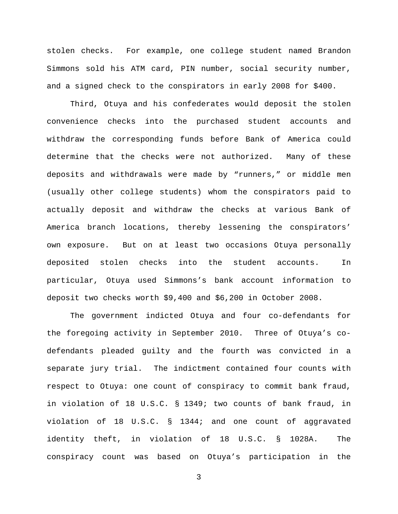stolen checks. For example, one college student named Brandon Simmons sold his ATM card, PIN number, social security number, and a signed check to the conspirators in early 2008 for \$400.

Third, Otuya and his confederates would deposit the stolen convenience checks into the purchased student accounts and withdraw the corresponding funds before Bank of America could determine that the checks were not authorized. Many of these deposits and withdrawals were made by "runners," or middle men (usually other college students) whom the conspirators paid to actually deposit and withdraw the checks at various Bank of America branch locations, thereby lessening the conspirators' own exposure. But on at least two occasions Otuya personally deposited stolen checks into the student accounts. In particular, Otuya used Simmons's bank account information to deposit two checks worth \$9,400 and \$6,200 in October 2008.

The government indicted Otuya and four co-defendants for the foregoing activity in September 2010. Three of Otuya's codefendants pleaded guilty and the fourth was convicted in a separate jury trial. The indictment contained four counts with respect to Otuya: one count of conspiracy to commit bank fraud, in violation of 18 U.S.C. § 1349; two counts of bank fraud, in violation of 18 U.S.C. § 1344; and one count of aggravated identity theft, in violation of 18 U.S.C. § 1028A. The conspiracy count was based on Otuya's participation in the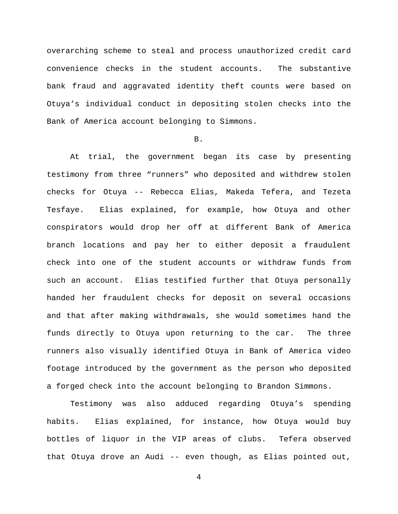overarching scheme to steal and process unauthorized credit card convenience checks in the student accounts. The substantive bank fraud and aggravated identity theft counts were based on Otuya's individual conduct in depositing stolen checks into the Bank of America account belonging to Simmons.

### B.

At trial, the government began its case by presenting testimony from three "runners" who deposited and withdrew stolen checks for Otuya -- Rebecca Elias, Makeda Tefera, and Tezeta Tesfaye. Elias explained, for example, how Otuya and other conspirators would drop her off at different Bank of America branch locations and pay her to either deposit a fraudulent check into one of the student accounts or withdraw funds from such an account. Elias testified further that Otuya personally handed her fraudulent checks for deposit on several occasions and that after making withdrawals, she would sometimes hand the funds directly to Otuya upon returning to the car. The three runners also visually identified Otuya in Bank of America video footage introduced by the government as the person who deposited a forged check into the account belonging to Brandon Simmons.

Testimony was also adduced regarding Otuya's spending habits. Elias explained, for instance, how Otuya would buy bottles of liquor in the VIP areas of clubs. Tefera observed that Otuya drove an Audi -- even though, as Elias pointed out,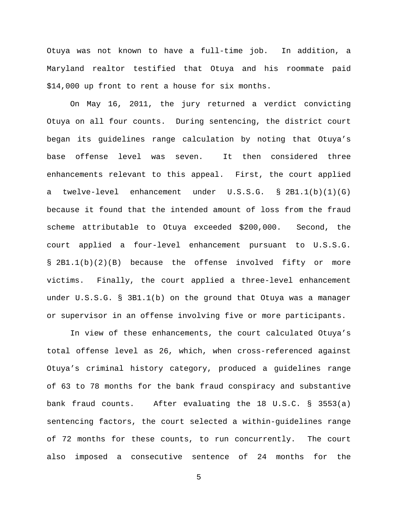Otuya was not known to have a full-time job. In addition, a Maryland realtor testified that Otuya and his roommate paid \$14,000 up front to rent a house for six months.

On May 16, 2011, the jury returned a verdict convicting Otuya on all four counts. During sentencing, the district court began its guidelines range calculation by noting that Otuya's base offense level was seven. It then considered three enhancements relevant to this appeal. First, the court applied a twelve-level enhancement under U.S.S.G. § 2B1.1(b)(1)(G) because it found that the intended amount of loss from the fraud scheme attributable to Otuya exceeded \$200,000. Second, the court applied a four-level enhancement pursuant to U.S.S.G. § 2B1.1(b)(2)(B) because the offense involved fifty or more victims. Finally, the court applied a three-level enhancement under U.S.S.G. § 3B1.1(b) on the ground that Otuya was a manager or supervisor in an offense involving five or more participants.

In view of these enhancements, the court calculated Otuya's total offense level as 26, which, when cross-referenced against Otuya's criminal history category, produced a guidelines range of 63 to 78 months for the bank fraud conspiracy and substantive bank fraud counts. After evaluating the 18 U.S.C. § 3553(a) sentencing factors, the court selected a within-guidelines range of 72 months for these counts, to run concurrently. The court also imposed a consecutive sentence of 24 months for the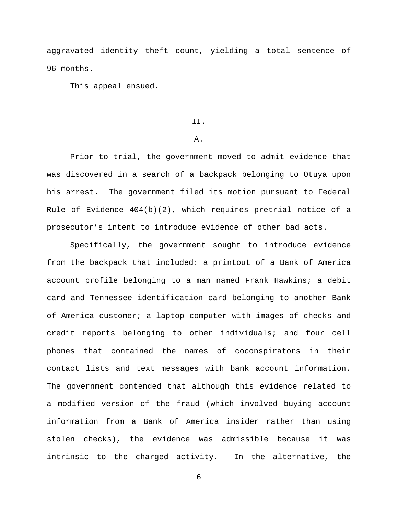aggravated identity theft count, yielding a total sentence of 96-months.

This appeal ensued.

## II.

### A.

Prior to trial, the government moved to admit evidence that was discovered in a search of a backpack belonging to Otuya upon his arrest. The government filed its motion pursuant to Federal Rule of Evidence  $404(b)(2)$ , which requires pretrial notice of a prosecutor's intent to introduce evidence of other bad acts.

Specifically, the government sought to introduce evidence from the backpack that included: a printout of a Bank of America account profile belonging to a man named Frank Hawkins; a debit card and Tennessee identification card belonging to another Bank of America customer; a laptop computer with images of checks and credit reports belonging to other individuals; and four cell phones that contained the names of coconspirators in their contact lists and text messages with bank account information. The government contended that although this evidence related to a modified version of the fraud (which involved buying account information from a Bank of America insider rather than using stolen checks), the evidence was admissible because it was intrinsic to the charged activity. In the alternative, the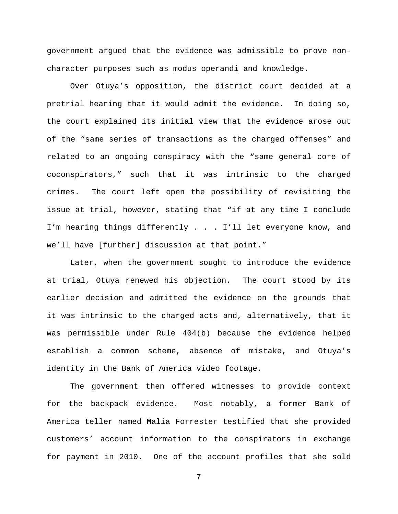government argued that the evidence was admissible to prove noncharacter purposes such as modus operandi and knowledge.

Over Otuya's opposition, the district court decided at a pretrial hearing that it would admit the evidence. In doing so, the court explained its initial view that the evidence arose out of the "same series of transactions as the charged offenses" and related to an ongoing conspiracy with the "same general core of coconspirators," such that it was intrinsic to the charged crimes. The court left open the possibility of revisiting the issue at trial, however, stating that "if at any time I conclude I'm hearing things differently . . . I'll let everyone know, and we'll have [further] discussion at that point."

Later, when the government sought to introduce the evidence at trial, Otuya renewed his objection. The court stood by its earlier decision and admitted the evidence on the grounds that it was intrinsic to the charged acts and, alternatively, that it was permissible under Rule 404(b) because the evidence helped establish a common scheme, absence of mistake, and Otuya's identity in the Bank of America video footage.

The government then offered witnesses to provide context for the backpack evidence. Most notably, a former Bank of America teller named Malia Forrester testified that she provided customers' account information to the conspirators in exchange for payment in 2010. One of the account profiles that she sold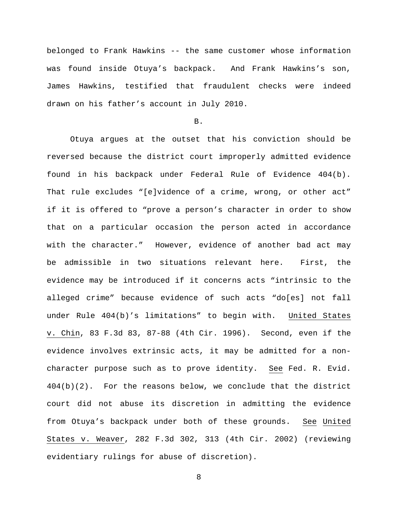belonged to Frank Hawkins -- the same customer whose information was found inside Otuya's backpack. And Frank Hawkins's son, James Hawkins, testified that fraudulent checks were indeed drawn on his father's account in July 2010.

B.

Otuya argues at the outset that his conviction should be reversed because the district court improperly admitted evidence found in his backpack under Federal Rule of Evidence 404(b). That rule excludes "[e]vidence of a crime, wrong, or other act" if it is offered to "prove a person's character in order to show that on a particular occasion the person acted in accordance with the character." However, evidence of another bad act may be admissible in two situations relevant here. First, the evidence may be introduced if it concerns acts "intrinsic to the alleged crime" because evidence of such acts "do[es] not fall under Rule 404(b)'s limitations" to begin with. United States v. Chin, 83 F.3d 83, 87-88 (4th Cir. 1996). Second, even if the evidence involves extrinsic acts, it may be admitted for a noncharacter purpose such as to prove identity. See Fed. R. Evid. 404(b)(2). For the reasons below, we conclude that the district court did not abuse its discretion in admitting the evidence from Otuya's backpack under both of these grounds. See United States v. Weaver, 282 F.3d 302, 313 (4th Cir. 2002) (reviewing evidentiary rulings for abuse of discretion).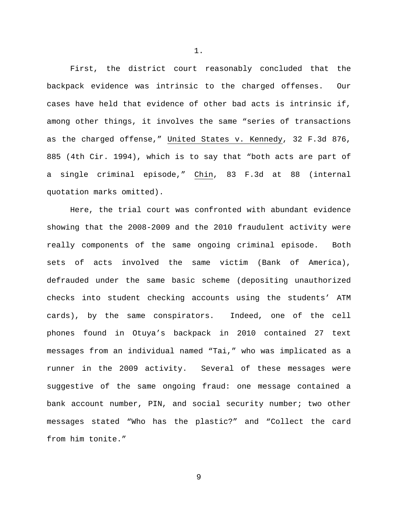First, the district court reasonably concluded that the backpack evidence was intrinsic to the charged offenses. Our cases have held that evidence of other bad acts is intrinsic if, among other things, it involves the same "series of transactions as the charged offense," United States v. Kennedy, 32 F.3d 876, 885 (4th Cir. 1994), which is to say that "both acts are part of a single criminal episode," Chin, 83 F.3d at 88 (internal quotation marks omitted).

Here, the trial court was confronted with abundant evidence showing that the 2008-2009 and the 2010 fraudulent activity were really components of the same ongoing criminal episode. Both sets of acts involved the same victim (Bank of America), defrauded under the same basic scheme (depositing unauthorized checks into student checking accounts using the students' ATM cards), by the same conspirators. Indeed, one of the cell phones found in Otuya's backpack in 2010 contained 27 text messages from an individual named "Tai," who was implicated as a runner in the 2009 activity. Several of these messages were suggestive of the same ongoing fraud: one message contained a bank account number, PIN, and social security number; two other messages stated "Who has the plastic?" and "Collect the card from him tonite."

1.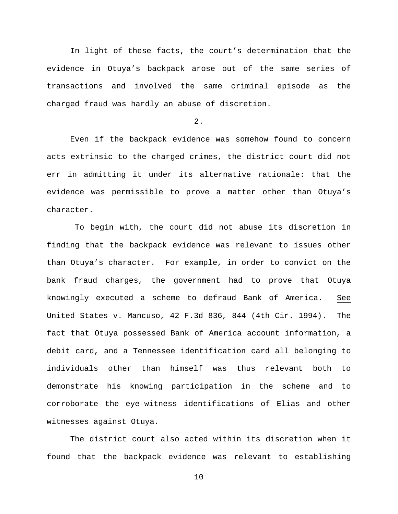In light of these facts, the court's determination that the evidence in Otuya's backpack arose out of the same series of transactions and involved the same criminal episode as the charged fraud was hardly an abuse of discretion.

2.

Even if the backpack evidence was somehow found to concern acts extrinsic to the charged crimes, the district court did not err in admitting it under its alternative rationale: that the evidence was permissible to prove a matter other than Otuya's character.

To begin with, the court did not abuse its discretion in finding that the backpack evidence was relevant to issues other than Otuya's character. For example, in order to convict on the bank fraud charges, the government had to prove that Otuya knowingly executed a scheme to defraud Bank of America. See United States v. Mancuso, 42 F.3d 836, 844 (4th Cir. 1994). The fact that Otuya possessed Bank of America account information, a debit card, and a Tennessee identification card all belonging to individuals other than himself was thus relevant both to demonstrate his knowing participation in the scheme and to corroborate the eye-witness identifications of Elias and other witnesses against Otuya.

The district court also acted within its discretion when it found that the backpack evidence was relevant to establishing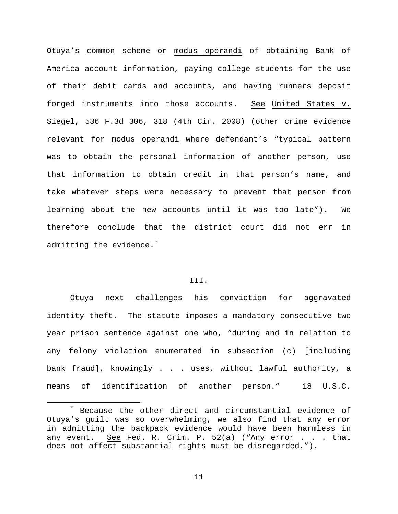Otuya's common scheme or modus operandi of obtaining Bank of America account information, paying college students for the use of their debit cards and accounts, and having runners deposit forged instruments into those accounts. See United States v. Siegel, 536 F.3d 306, 318 (4th Cir. 2008) (other crime evidence relevant for modus operandi where defendant's "typical pattern was to obtain the personal information of another person, use that information to obtain credit in that person's name, and take whatever steps were necessary to prevent that person from learning about the new accounts until it was too late"). We therefore conclude that the district court did not err in admitting the evidence.[\\*](#page-10-0)

### III.

Otuya next challenges his conviction for aggravated identity theft. The statute imposes a mandatory consecutive two year prison sentence against one who, "during and in relation to any felony violation enumerated in subsection (c) [including bank fraud], knowingly . . . uses, without lawful authority, a means of identification of another person." 18 U.S.C.

<span id="page-10-0"></span>Because the other direct and circumstantial evidence of Otuya's guilt was so overwhelming, we also find that any error in admitting the backpack evidence would have been harmless in any event. See Fed. R. Crim. P. 52(a) ("Any error . . . that does not affect substantial rights must be disregarded.").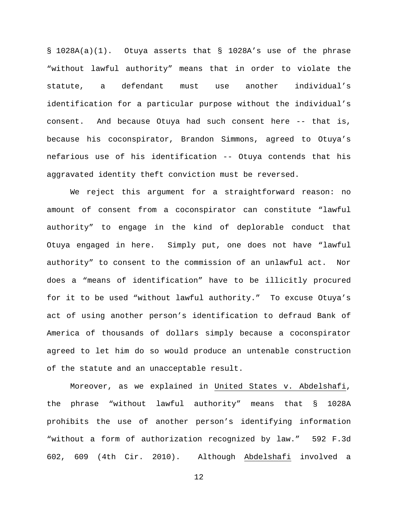§ 1028A(a)(1). Otuya asserts that § 1028A's use of the phrase "without lawful authority" means that in order to violate the statute, a defendant must use another individual's identification for a particular purpose without the individual's consent. And because Otuya had such consent here -- that is, because his coconspirator, Brandon Simmons, agreed to Otuya's nefarious use of his identification -- Otuya contends that his aggravated identity theft conviction must be reversed.

We reject this argument for a straightforward reason: no amount of consent from a coconspirator can constitute "lawful authority" to engage in the kind of deplorable conduct that Otuya engaged in here. Simply put, one does not have "lawful authority" to consent to the commission of an unlawful act. Nor does a "means of identification" have to be illicitly procured for it to be used "without lawful authority." To excuse Otuya's act of using another person's identification to defraud Bank of America of thousands of dollars simply because a coconspirator agreed to let him do so would produce an untenable construction of the statute and an unacceptable result.

Moreover, as we explained in United States v. Abdelshafi, the phrase "without lawful authority" means that § 1028A prohibits the use of another person's identifying information "without a form of authorization recognized by law." 592 F.3d 602, 609 (4th Cir. 2010). Although Abdelshafi involved a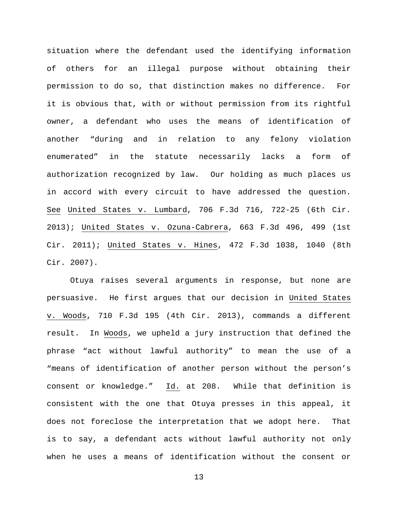situation where the defendant used the identifying information of others for an illegal purpose without obtaining their permission to do so, that distinction makes no difference. For it is obvious that, with or without permission from its rightful owner, a defendant who uses the means of identification of another "during and in relation to any felony violation enumerated" in the statute necessarily lacks a form of authorization recognized by law. Our holding as much places us in accord with every circuit to have addressed the question. See United States v. Lumbard, 706 F.3d 716, 722-25 (6th Cir. 2013); United States v. Ozuna-Cabrera, 663 F.3d 496, 499 (1st Cir. 2011); United States v. Hines, 472 F.3d 1038, 1040 (8th Cir. 2007).

Otuya raises several arguments in response, but none are persuasive. He first argues that our decision in United States v. Woods, 710 F.3d 195 (4th Cir. 2013), commands a different result. In Woods, we upheld a jury instruction that defined the phrase "act without lawful authority" to mean the use of a "means of identification of another person without the person's consent or knowledge." Id. at 208. While that definition is consistent with the one that Otuya presses in this appeal, it does not foreclose the interpretation that we adopt here. That is to say, a defendant acts without lawful authority not only when he uses a means of identification without the consent or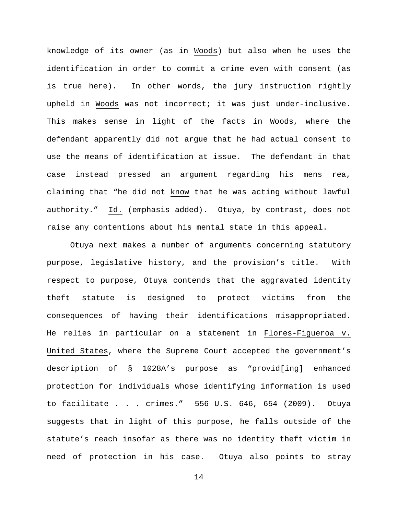knowledge of its owner (as in Woods) but also when he uses the identification in order to commit a crime even with consent (as is true here). In other words, the jury instruction rightly upheld in Woods was not incorrect; it was just under-inclusive. This makes sense in light of the facts in Woods, where the defendant apparently did not argue that he had actual consent to use the means of identification at issue. The defendant in that case instead pressed an argument regarding his mens rea, claiming that "he did not know that he was acting without lawful authority." Id. (emphasis added). Otuya, by contrast, does not raise any contentions about his mental state in this appeal.

Otuya next makes a number of arguments concerning statutory purpose, legislative history, and the provision's title. With respect to purpose, Otuya contends that the aggravated identity theft statute is designed to protect victims from the consequences of having their identifications misappropriated. He relies in particular on a statement in Flores-Figueroa v. United States, where the Supreme Court accepted the government's description of § 1028A's purpose as "provid[ing] enhanced protection for individuals whose identifying information is used to facilitate . . . crimes." 556 U.S. 646, 654 (2009). Otuya suggests that in light of this purpose, he falls outside of the statute's reach insofar as there was no identity theft victim in need of protection in his case. Otuya also points to stray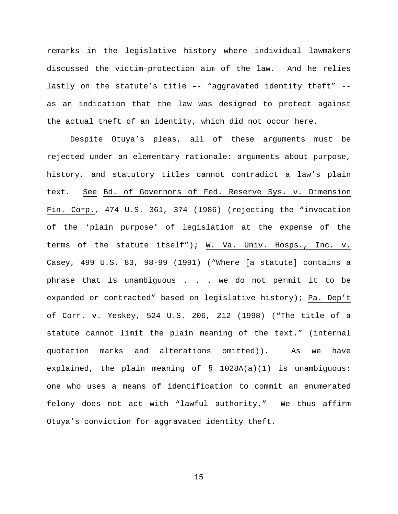remarks in the legislative history where individual lawmakers discussed the victim-protection aim of the law. And he relies lastly on the statute's title –- "aggravated identity theft" - as an indication that the law was designed to protect against the actual theft of an identity, which did not occur here.

Despite Otuya's pleas, all of these arguments must be rejected under an elementary rationale: arguments about purpose, history, and statutory titles cannot contradict a law's plain text. See Bd. of Governors of Fed. Reserve Sys. v. Dimension Fin. Corp., 474 U.S. 361, 374 (1986) (rejecting the "invocation of the 'plain purpose' of legislation at the expense of the terms of the statute itself"); W. Va. Univ. Hosps., Inc. v. Casey, 499 U.S. 83, 98-99 (1991) ("Where [a statute] contains a phrase that is unambiguous . . . we do not permit it to be expanded or contracted" based on legislative history); Pa. Dep't of Corr. v. Yeskey, 524 U.S. 206, 212 (1998) ("The title of a statute cannot limit the plain meaning of the text." (internal quotation marks and alterations omitted)). As we have explained, the plain meaning of § 1028A(a)(1) is unambiguous: one who uses a means of identification to commit an enumerated felony does not act with "lawful authority." We thus affirm Otuya's conviction for aggravated identity theft.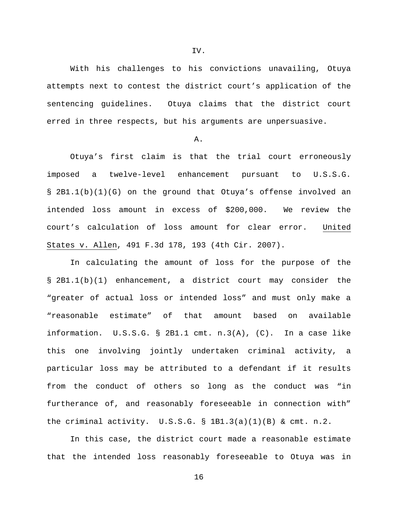With his challenges to his convictions unavailing, Otuya attempts next to contest the district court's application of the sentencing guidelines. Otuya claims that the district court erred in three respects, but his arguments are unpersuasive.

### A.

Otuya's first claim is that the trial court erroneously imposed a twelve-level enhancement pursuant to U.S.S.G. § 2B1.1(b)(1)(G) on the ground that Otuya's offense involved an intended loss amount in excess of \$200,000. We review the court's calculation of loss amount for clear error. United States v. Allen, 491 F.3d 178, 193 (4th Cir. 2007).

In calculating the amount of loss for the purpose of the § 2B1.1(b)(1) enhancement, a district court may consider the "greater of actual loss or intended loss" and must only make a "reasonable estimate" of that amount based on available information. U.S.S.G. § 2B1.1 cmt. n.3(A), (C). In a case like this one involving jointly undertaken criminal activity, a particular loss may be attributed to a defendant if it results from the conduct of others so long as the conduct was "in furtherance of, and reasonably foreseeable in connection with" the criminal activity.  $U.S.S.G. \S 1B1.3(a)(1)(B) \& cmt. n.2.$ 

In this case, the district court made a reasonable estimate that the intended loss reasonably foreseeable to Otuya was in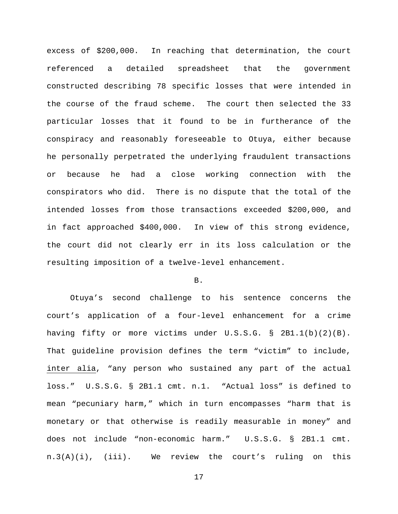excess of \$200,000. In reaching that determination, the court referenced a detailed spreadsheet that the government constructed describing 78 specific losses that were intended in the course of the fraud scheme. The court then selected the 33 particular losses that it found to be in furtherance of the conspiracy and reasonably foreseeable to Otuya, either because he personally perpetrated the underlying fraudulent transactions or because he had a close working connection with the conspirators who did. There is no dispute that the total of the intended losses from those transactions exceeded \$200,000, and in fact approached \$400,000. In view of this strong evidence, the court did not clearly err in its loss calculation or the resulting imposition of a twelve-level enhancement.

# B.

Otuya's second challenge to his sentence concerns the court's application of a four-level enhancement for a crime having fifty or more victims under U.S.S.G. § 2B1.1(b)(2)(B). That guideline provision defines the term "victim" to include, inter alia, "any person who sustained any part of the actual loss." U.S.S.G. § 2B1.1 cmt. n.1. "Actual loss" is defined to mean "pecuniary harm," which in turn encompasses "harm that is monetary or that otherwise is readily measurable in money" and does not include "non-economic harm." U.S.S.G. § 2B1.1 cmt. n.3(A)(i), (iii). We review the court's ruling on this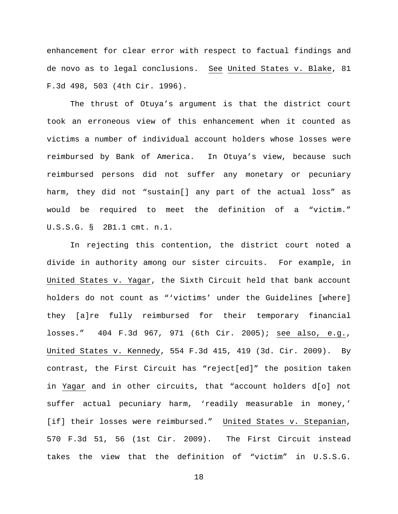enhancement for clear error with respect to factual findings and de novo as to legal conclusions. See United States v. Blake, 81 F.3d 498, 503 (4th Cir. 1996).

The thrust of Otuya's argument is that the district court took an erroneous view of this enhancement when it counted as victims a number of individual account holders whose losses were reimbursed by Bank of America. In Otuya's view, because such reimbursed persons did not suffer any monetary or pecuniary harm, they did not "sustain[] any part of the actual loss" as would be required to meet the definition of a "victim." U.S.S.G. § 2B1.1 cmt. n.1.

In rejecting this contention, the district court noted a divide in authority among our sister circuits. For example, in United States v. Yagar, the Sixth Circuit held that bank account holders do not count as "'victims' under the Guidelines [where] they [a]re fully reimbursed for their temporary financial losses." 404 F.3d 967, 971 (6th Cir. 2005); see also, e.g., United States v. Kennedy, 554 F.3d 415, 419 (3d. Cir. 2009). By contrast, the First Circuit has "reject[ed]" the position taken in Yagar and in other circuits, that "account holders d[o] not suffer actual pecuniary harm, 'readily measurable in money,' [if] their losses were reimbursed." United States v. Stepanian, 570 F.3d 51, 56 (1st Cir. 2009). The First Circuit instead takes the view that the definition of "victim" in U.S.S.G.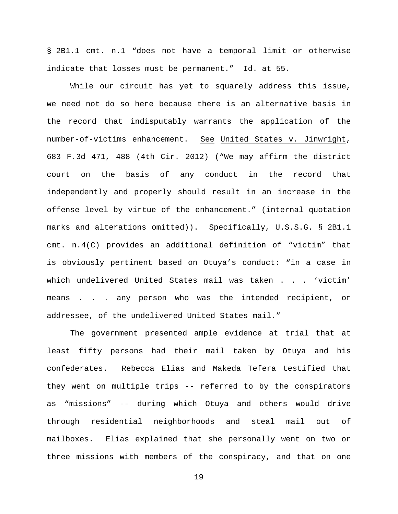§ 2B1.1 cmt. n.1 "does not have a temporal limit or otherwise indicate that losses must be permanent." Id. at 55.

While our circuit has yet to squarely address this issue, we need not do so here because there is an alternative basis in the record that indisputably warrants the application of the number-of-victims enhancement. See United States v. Jinwright, 683 F.3d 471, 488 (4th Cir. 2012) ("We may affirm the district court on the basis of any conduct in the record that independently and properly should result in an increase in the offense level by virtue of the enhancement." (internal quotation marks and alterations omitted)). Specifically, U.S.S.G. § 2B1.1 cmt. n.4(C) provides an additional definition of "victim" that is obviously pertinent based on Otuya's conduct: "in a case in which undelivered United States mail was taken . . . 'victim' means . . . any person who was the intended recipient, or addressee, of the undelivered United States mail."

The government presented ample evidence at trial that at least fifty persons had their mail taken by Otuya and his confederates. Rebecca Elias and Makeda Tefera testified that they went on multiple trips -- referred to by the conspirators as "missions" -- during which Otuya and others would drive through residential neighborhoods and steal mail out of mailboxes. Elias explained that she personally went on two or three missions with members of the conspiracy, and that on one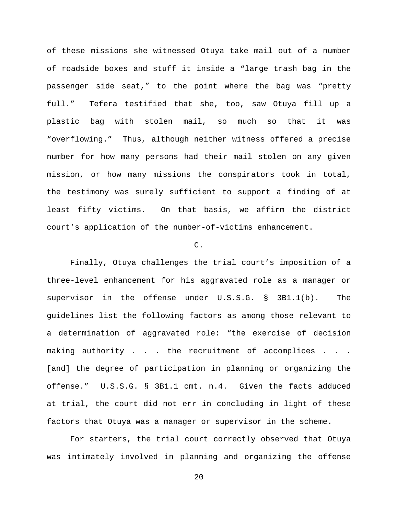of these missions she witnessed Otuya take mail out of a number of roadside boxes and stuff it inside a "large trash bag in the passenger side seat," to the point where the bag was "pretty full." Tefera testified that she, too, saw Otuya fill up a plastic bag with stolen mail, so much so that it was "overflowing." Thus, although neither witness offered a precise number for how many persons had their mail stolen on any given mission, or how many missions the conspirators took in total, the testimony was surely sufficient to support a finding of at least fifty victims. On that basis, we affirm the district court's application of the number-of-victims enhancement.

## $\mathcal{C}$ .

Finally, Otuya challenges the trial court's imposition of a three-level enhancement for his aggravated role as a manager or supervisor in the offense under U.S.S.G. § 3B1.1(b). The guidelines list the following factors as among those relevant to a determination of aggravated role: "the exercise of decision making authority . . . the recruitment of accomplices . . . [and] the degree of participation in planning or organizing the offense." U.S.S.G. § 3B1.1 cmt. n.4. Given the facts adduced at trial, the court did not err in concluding in light of these factors that Otuya was a manager or supervisor in the scheme.

For starters, the trial court correctly observed that Otuya was intimately involved in planning and organizing the offense